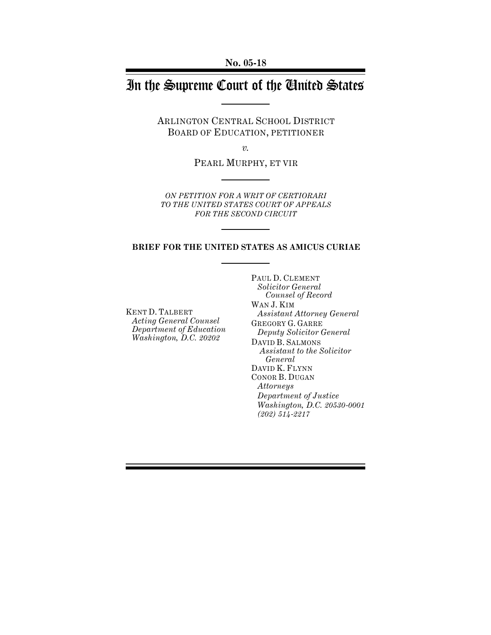# In the Supreme Court of the United States

ARLINGTON CENTRAL SCHOOL DISTRICT BOARD OF EDUCATION, PETITIONER

*v.*

PEARL MURPHY, ET VIR

*ON PETITION FOR A WRIT OF CERTIORARI TO THE UNITED STATES COURT OF APPEALS FOR THE SECOND CIRCUIT*

#### **BRIEF FOR THE UNITED STATES AS AMICUS CURIAE**

KENT D. TALBERT *Acting General Counsel Department of Education Washington, D.C. 20202*

*Solicitor General Counsel of Record* WAN J. KIM *Assistant Attorney General* GREGORY G. GARRE *Deputy Solicitor General* DAVID B. SALMONS  *Assistant to the Solicitor General* DAVID K. FLYNN CONOR B. DUGAN *Attorneys Department of Justice Washington, D.C. 20530-0001 (202) 514-2217*

PAUL D. CLEMENT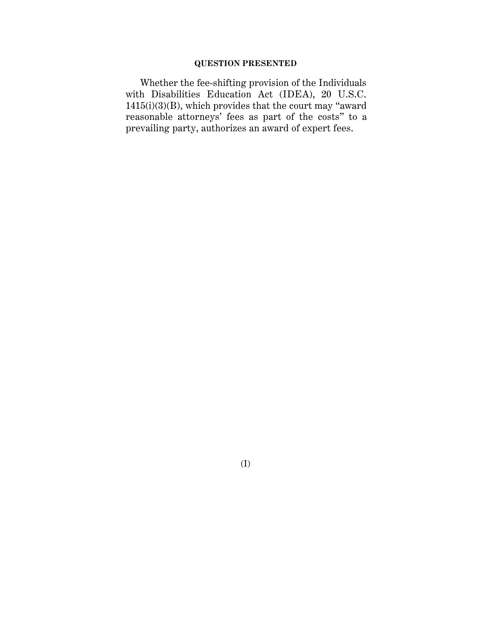## **QUESTION PRESENTED**

Whether the fee-shifting provision of the Individuals with Disabilities Education Act (IDEA), 20 U.S.C. 1415(i)(3)(B), which provides that the court may "award reasonable attorneys' fees as part of the costs" to a prevailing party, authorizes an award of expert fees.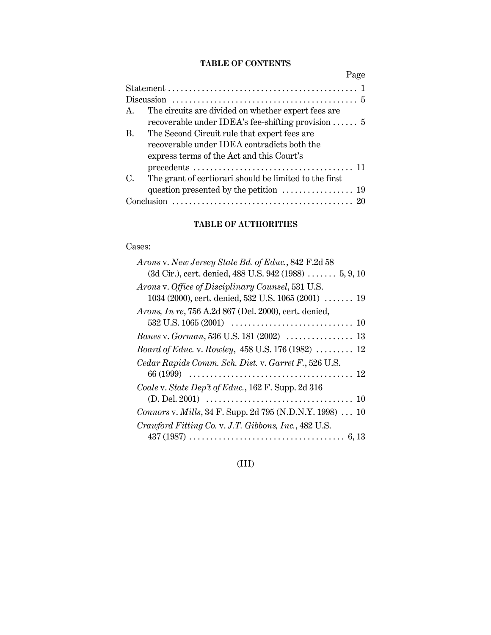### **TABLE OF CONTENTS**

|             | Page                                                       |  |
|-------------|------------------------------------------------------------|--|
|             |                                                            |  |
|             |                                                            |  |
| A.          | The circuits are divided on whether expert fees are        |  |
|             | recoverable under IDEA's fee-shifting provision $\ldots$ 5 |  |
| <b>B.</b>   | The Second Circuit rule that expert fees are               |  |
|             | recoverable under IDEA contradicts both the                |  |
|             | express terms of the Act and this Court's                  |  |
|             |                                                            |  |
| $C_{\cdot}$ | The grant of certiorari should be limited to the first     |  |
|             |                                                            |  |
|             |                                                            |  |
|             |                                                            |  |

#### **TABLE OF AUTHORITIES**

#### Cases:

## (III)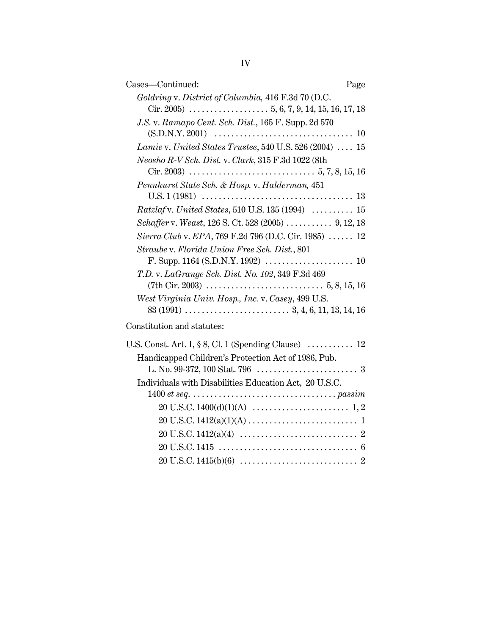| Cases-Continued:                                                | Page |
|-----------------------------------------------------------------|------|
| Goldring v. District of Columbia, 416 F.3d 70 (D.C.             |      |
| J.S. v. Ramapo Cent. Sch. Dist., 165 F. Supp. 2d 570            |      |
| Lamie v. United States Trustee, 540 U.S. 526 (2004) $\ldots$ 15 |      |
| Neosho R-V Sch. Dist. v. Clark, 315 F.3d 1022 (8th              |      |
| Pennhurst State Sch. & Hosp. v. Halderman, 451                  |      |
| Ratzlaf v. United States, 510 U.S. 135 (1994)  15               |      |
| Schaffer v. Weast, 126 S. Ct. 528 (2005)  9, 12, 18             |      |
| Sierra Club v. EPA, 769 F.2d 796 (D.C. Cir. 1985)  12           |      |
| Straube v. Florida Union Free Sch. Dist., 801                   |      |
|                                                                 |      |
| T.D. v. LaGrange Sch. Dist. No. 102, 349 F.3d 469               |      |
|                                                                 |      |
| West Virginia Univ. Hosp., Inc. v. Casey, 499 U.S.              |      |
| Constitution and statutes:                                      |      |
| U.S. Const. Art. I, § 8, Cl. 1 (Spending Clause)  12            |      |
| Handicapped Children's Protection Act of 1986, Pub.             |      |
| Individuals with Disabilities Education Act, 20 U.S.C.          |      |
|                                                                 |      |
|                                                                 |      |
|                                                                 |      |
|                                                                 |      |
|                                                                 |      |
|                                                                 |      |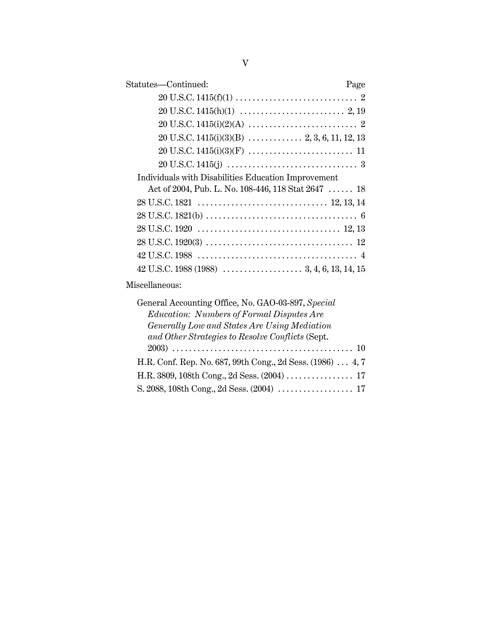| Statutes—Continued:                                                                                                | Page |
|--------------------------------------------------------------------------------------------------------------------|------|
|                                                                                                                    |      |
|                                                                                                                    |      |
|                                                                                                                    |      |
| 20 U.S.C. 1415(i)(3)(B) $\ldots$ $2, 3, 6, 11, 12, 13$                                                             |      |
|                                                                                                                    |      |
| $20 \text{ U.S.C. } 1415(j) \ldots \ldots \ldots \ldots \ldots \ldots \ldots \ldots \ldots \ldots \ldots \ldots 3$ |      |
| Individuals with Disabilities Education Improvement                                                                |      |
| Act of 2004, Pub. L. No. 108-446, 118 Stat 2647  18                                                                |      |
|                                                                                                                    |      |
|                                                                                                                    |      |
|                                                                                                                    |      |
|                                                                                                                    |      |
|                                                                                                                    |      |
|                                                                                                                    |      |
|                                                                                                                    |      |

Miscellaneous:

| General Accounting Office, No. GAO-03-897, Special         |
|------------------------------------------------------------|
| <i>Education: Numbers of Formal Disputes Are</i>           |
| Generally Low and States Are Using Mediation               |
| and Other Strategies to Resolve Conflicts (Sept.           |
|                                                            |
| H.R. Conf. Rep. No. 687, 99th Cong., 2d Sess. (1986)  4, 7 |
|                                                            |
| S. 2088, 108th Cong., 2d Sess. (2004)  17                  |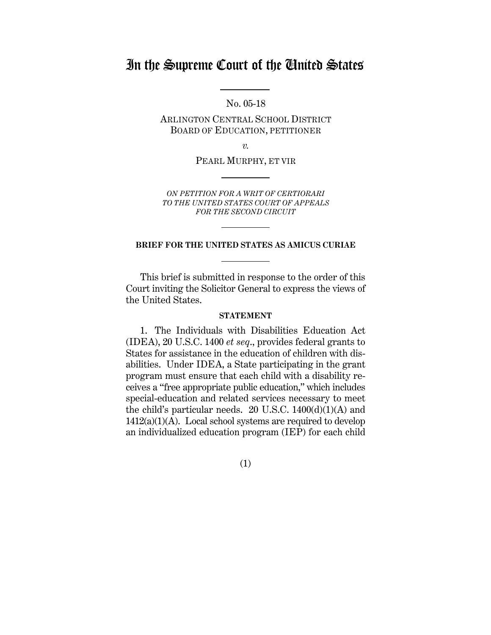## In the Supreme Court of the United States

No. 05-18

ARLINGTON CENTRAL SCHOOL DISTRICT BOARD OF EDUCATION, PETITIONER

*v.*

PEARL MURPHY, ET VIR

*ON PETITION FOR A WRIT OF CERTIORARI TO THE UNITED STATES COURT OF APPEALS FOR THE SECOND CIRCUIT*

#### **BRIEF FOR THE UNITED STATES AS AMICUS CURIAE**

This brief is submitted in response to the order of this Court inviting the Solicitor General to express the views of the United States.

#### **STATEMENT**

1. The Individuals with Disabilities Education Act (IDEA), 20 U.S.C. 1400 *et seq*., provides federal grants to States for assistance in the education of children with disabilities. Under IDEA, a State participating in the grant program must ensure that each child with a disability receives a "free appropriate public education," which includes special-education and related services necessary to meet the child's particular needs. 20 U.S.C.  $1400(d)(1)(A)$  and  $1412(a)(1)(A)$ . Local school systems are required to develop an individualized education program (IEP) for each child

(1)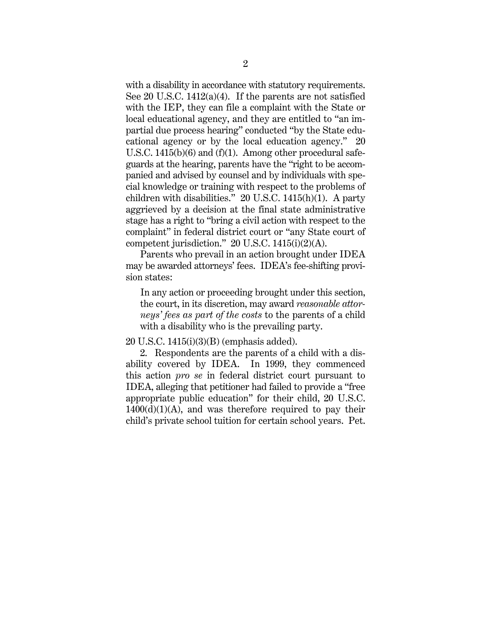with a disability in accordance with statutory requirements. See 20 U.S.C. 1412(a)(4). If the parents are not satisfied with the IEP, they can file a complaint with the State or local educational agency, and they are entitled to "an impartial due process hearing" conducted "by the State educational agency or by the local education agency." 20 U.S.C. 1415(b)(6) and (f)(1). Among other procedural safeguards at the hearing, parents have the "right to be accompanied and advised by counsel and by individuals with special knowledge or training with respect to the problems of children with disabilities." 20 U.S.C. 1415(h)(1). A party aggrieved by a decision at the final state administrative stage has a right to "bring a civil action with respect to the complaint" in federal district court or "any State court of competent jurisdiction." 20 U.S.C. 1415(i)(2)(A).

Parents who prevail in an action brought under IDEA may be awarded attorneys' fees. IDEA's fee-shifting provision states:

In any action or proceeding brought under this section, the court, in its discretion, may award *reasonable attorneys' fees as part of the costs* to the parents of a child with a disability who is the prevailing party.

20 U.S.C. 1415(i)(3)(B) (emphasis added).

2. Respondents are the parents of a child with a disability covered by IDEA. In 1999, they commenced this action *pro se* in federal district court pursuant to IDEA, alleging that petitioner had failed to provide a "free appropriate public education" for their child, 20 U.S.C.  $1400(d)(1)(A)$ , and was therefore required to pay their child's private school tuition for certain school years. Pet.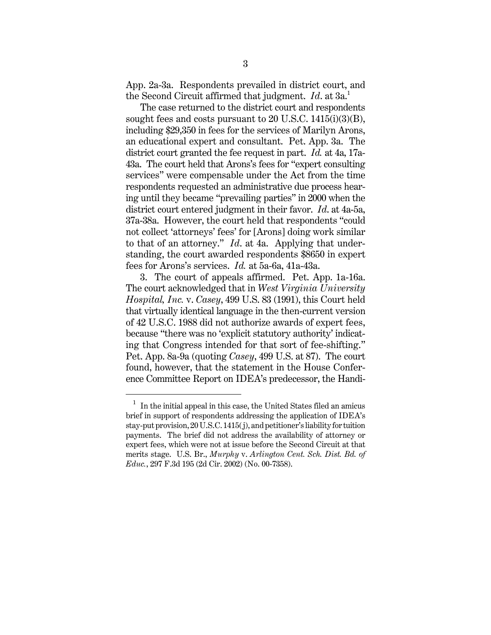App. 2a-3a. Respondents prevailed in district court, and the Second Circuit affirmed that judgment. *Id.* at 3a.<sup>1</sup>

The case returned to the district court and respondents sought fees and costs pursuant to 20 U.S.C. 1415(i)(3)(B), including \$29,350 in fees for the services of Marilyn Arons, an educational expert and consultant. Pet. App. 3a. The district court granted the fee request in part. *Id.* at 4a, 17a-43a. The court held that Arons's fees for "expert consulting services" were compensable under the Act from the time respondents requested an administrative due process hearing until they became "prevailing parties" in 2000 when the district court entered judgment in their favor. *Id*. at 4a-5a, 37a-38a. However, the court held that respondents "could not collect 'attorneys' fees' for [Arons] doing work similar to that of an attorney." *Id*. at 4a. Applying that understanding, the court awarded respondents \$8650 in expert fees for Arons's services. *Id.* at 5a-6a, 41a-43a.

3. The court of appeals affirmed. Pet. App. 1a-16a. The court acknowledged that in *West Virginia University Hospital, Inc.* v. *Casey*, 499 U.S. 83 (1991), this Court held that virtually identical language in the then-current version of 42 U.S.C. 1988 did not authorize awards of expert fees, because "there was no 'explicit statutory authority' indicating that Congress intended for that sort of fee-shifting." Pet. App. 8a-9a (quoting *Casey*, 499 U.S. at 87). The court found, however, that the statement in the House Conference Committee Report on IDEA's predecessor, the Handi-

 $1$  In the initial appeal in this case, the United States filed an amicus brief in support of respondents addressing the application of IDEA's stay-put provision, 20 U.S.C. 1415(j), and petitioner's liability for tuition payments. The brief did not address the availability of attorney or expert fees, which were not at issue before the Second Circuit at that merits stage. U.S. Br., *Murphy* v. *Arlington Cent. Sch. Dist. Bd. of Educ.*, 297 F.3d 195 (2d Cir. 2002) (No. 00-7358).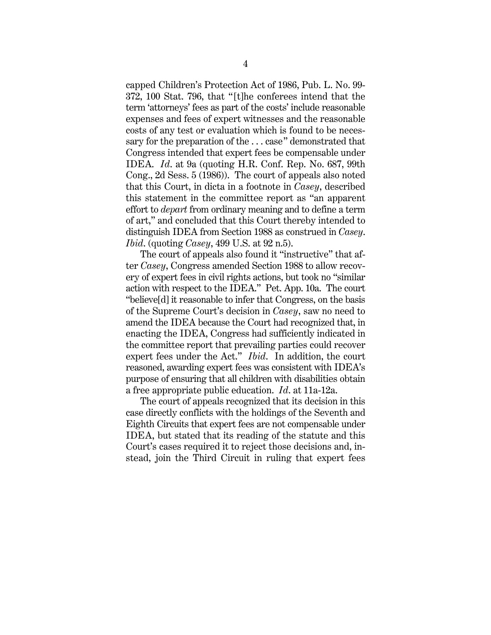capped Children's Protection Act of 1986, Pub. L. No. 99- 372, 100 Stat. 796, that "[t]he conferees intend that the term 'attorneys' fees as part of the costs' include reasonable expenses and fees of expert witnesses and the reasonable costs of any test or evaluation which is found to be necessary for the preparation of the ... case" demonstrated that Congress intended that expert fees be compensable under IDEA. *Id*. at 9a (quoting H.R. Conf. Rep. No. 687, 99th Cong., 2d Sess. 5 (1986)). The court of appeals also noted that this Court, in dicta in a footnote in *Casey*, described this statement in the committee report as "an apparent effort to *depart* from ordinary meaning and to define a term of art," and concluded that this Court thereby intended to distinguish IDEA from Section 1988 as construed in *Casey*. *Ibid*. (quoting *Casey*, 499 U.S. at 92 n.5).

The court of appeals also found it "instructive" that after *Casey*, Congress amended Section 1988 to allow recovery of expert fees in civil rights actions, but took no "similar action with respect to the IDEA." Pet. App. 10a. The court "believe[d] it reasonable to infer that Congress, on the basis of the Supreme Court's decision in *Casey*, saw no need to amend the IDEA because the Court had recognized that, in enacting the IDEA, Congress had sufficiently indicated in the committee report that prevailing parties could recover expert fees under the Act." *Ibid*. In addition, the court reasoned, awarding expert fees was consistent with IDEA's purpose of ensuring that all children with disabilities obtain a free appropriate public education. *Id*. at 11a-12a.

The court of appeals recognized that its decision in this case directly conflicts with the holdings of the Seventh and Eighth Circuits that expert fees are not compensable under IDEA, but stated that its reading of the statute and this Court's cases required it to reject those decisions and, instead, join the Third Circuit in ruling that expert fees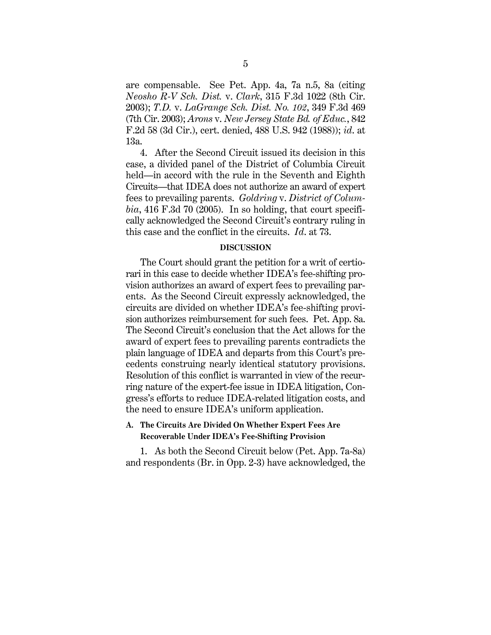are compensable. See Pet. App. 4a, 7a n.5, 8a (citing *Neosho R-V Sch. Dist.* v. *Clark*, 315 F.3d 1022 (8th Cir. 2003); *T.D.* v. *LaGrange Sch. Dist. No. 102*, 349 F.3d 469 (7th Cir. 2003); *Arons* v. *New Jersey State Bd. of Educ.*, 842 F.2d 58 (3d Cir.), cert. denied, 488 U.S. 942 (1988)); *id*. at 13a.

4. After the Second Circuit issued its decision in this case, a divided panel of the District of Columbia Circuit held—in accord with the rule in the Seventh and Eighth Circuits—that IDEA does not authorize an award of expert fees to prevailing parents. *Goldring* v. *District of Columbia*, 416 F.3d 70 (2005). In so holding, that court specifically acknowledged the Second Circuit's contrary ruling in this case and the conflict in the circuits. *Id*. at 73.

#### **DISCUSSION**

The Court should grant the petition for a writ of certiorari in this case to decide whether IDEA's fee-shifting provision authorizes an award of expert fees to prevailing parents. As the Second Circuit expressly acknowledged, the circuits are divided on whether IDEA's fee-shifting provision authorizes reimbursement for such fees. Pet. App. 8a. The Second Circuit's conclusion that the Act allows for the award of expert fees to prevailing parents contradicts the plain language of IDEA and departs from this Court's precedents construing nearly identical statutory provisions. Resolution of this conflict is warranted in view of the recurring nature of the expert-fee issue in IDEA litigation, Congress's efforts to reduce IDEA-related litigation costs, and the need to ensure IDEA's uniform application.

#### **A. The Circuits Are Divided On Whether Expert Fees Are Recoverable Under IDEA's Fee-Shifting Provision**

1. As both the Second Circuit below (Pet. App. 7a-8a) and respondents (Br. in Opp. 2-3) have acknowledged, the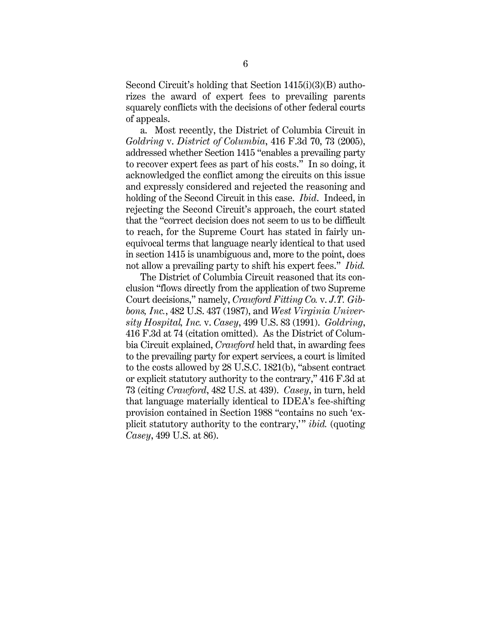Second Circuit's holding that Section 1415(i)(3)(B) authorizes the award of expert fees to prevailing parents squarely conflicts with the decisions of other federal courts of appeals.

a. Most recently, the District of Columbia Circuit in *Goldring* v. *District of Columbia*, 416 F.3d 70, 73 (2005), addressed whether Section 1415 "enables a prevailing party to recover expert fees as part of his costs." In so doing, it acknowledged the conflict among the circuits on this issue and expressly considered and rejected the reasoning and holding of the Second Circuit in this case. *Ibid*. Indeed, in rejecting the Second Circuit's approach, the court stated that the "correct decision does not seem to us to be difficult to reach, for the Supreme Court has stated in fairly unequivocal terms that language nearly identical to that used in section 1415 is unambiguous and, more to the point, does not allow a prevailing party to shift his expert fees." *Ibid.*

The District of Columbia Circuit reasoned that its conclusion "flows directly from the application of two Supreme Court decisions," namely, *Crawford Fitting Co.* v. *J.T. Gibbons, Inc.*, 482 U.S. 437 (1987), and *West Virginia University Hospital, Inc.* v. *Casey*, 499 U.S. 83 (1991). *Goldring*, 416 F.3d at 74 (citation omitted). As the District of Columbia Circuit explained, *Crawford* held that, in awarding fees to the prevailing party for expert services, a court is limited to the costs allowed by 28 U.S.C. 1821(b), "absent contract or explicit statutory authority to the contrary," 416 F.3d at 73 (citing *Crawford*, 482 U.S. at 439). *Casey*, in turn, held that language materially identical to IDEA's fee-shifting provision contained in Section 1988 "contains no such 'explicit statutory authority to the contrary,'" *ibid.* (quoting *Casey*, 499 U.S. at 86).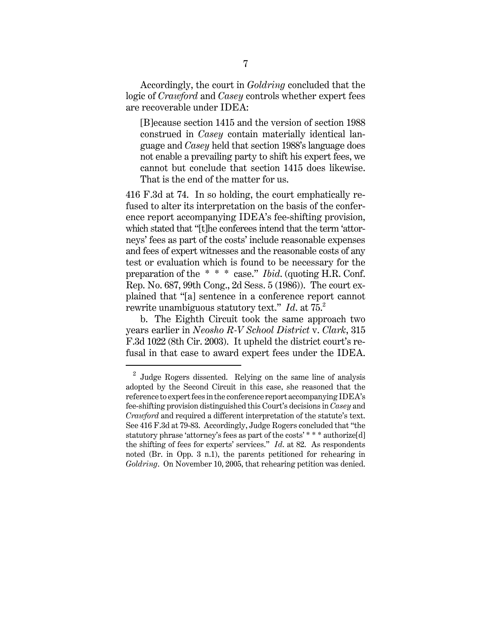Accordingly, the court in *Goldring* concluded that the logic of *Crawford* and *Casey* controls whether expert fees are recoverable under IDEA:

[B]ecause section 1415 and the version of section 1988 construed in *Casey* contain materially identical language and *Casey* held that section 1988's language does not enable a prevailing party to shift his expert fees, we cannot but conclude that section 1415 does likewise. That is the end of the matter for us.

416 F.3d at 74. In so holding, the court emphatically refused to alter its interpretation on the basis of the conference report accompanying IDEA's fee-shifting provision, which stated that "[t]he conferees intend that the term 'attorneys' fees as part of the costs' include reasonable expenses and fees of expert witnesses and the reasonable costs of any test or evaluation which is found to be necessary for the preparation of the \* \* \* case." *Ibid*. (quoting H.R. Conf. Rep. No. 687, 99th Cong., 2d Sess. 5 (1986)). The court explained that "[a] sentence in a conference report cannot rewrite unambiguous statutory text." *Id.* at 75.<sup>2</sup>

b. The Eighth Circuit took the same approach two years earlier in *Neosho R-V School District* v. *Clark*, 315 F.3d 1022 (8th Cir. 2003). It upheld the district court's refusal in that case to award expert fees under the IDEA.

<sup>2</sup> Judge Rogers dissented. Relying on the same line of analysis adopted by the Second Circuit in this case, she reasoned that the reference to expert fees in the conference report accompanying IDEA's fee-shifting provision distinguished this Court's decisions in *Casey* and *Crawford* and required a different interpretation of the statute's text. See 416 F.3d at 79-83. Accordingly, Judge Rogers concluded that "the statutory phrase 'attorney's fees as part of the costs' \* \* \* authorize<sup>[d]</sup> the shifting of fees for experts' services." *Id*. at 82. As respondents noted (Br. in Opp. 3 n.1), the parents petitioned for rehearing in *Goldring*. On November 10, 2005, that rehearing petition was denied.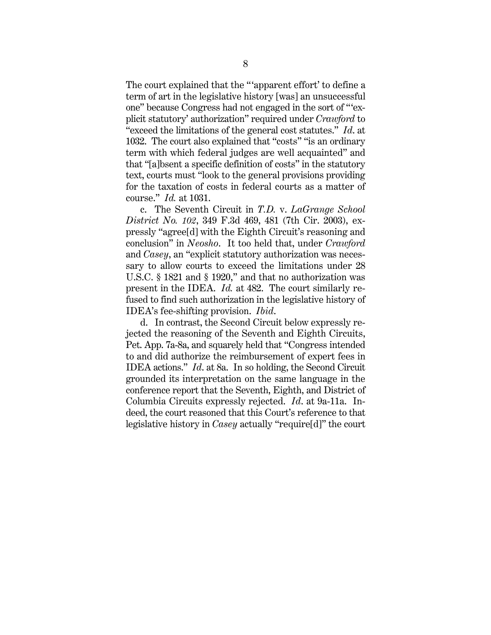The court explained that the "'apparent effort' to define a term of art in the legislative history [was] an unsuccessful one" because Congress had not engaged in the sort of "'explicit statutory' authorization" required under *Crawford* to "exceed the limitations of the general cost statutes." *Id*. at 1032. The court also explained that "costs" "is an ordinary term with which federal judges are well acquainted" and that "[a]bsent a specific definition of costs" in the statutory text, courts must "look to the general provisions providing for the taxation of costs in federal courts as a matter of course." *Id.* at 1031.

c. The Seventh Circuit in *T.D.* v. *LaGrange School District No. 102*, 349 F.3d 469, 481 (7th Cir. 2003), expressly "agree[d] with the Eighth Circuit's reasoning and conclusion" in *Neosho*. It too held that, under *Crawford* and *Casey*, an "explicit statutory authorization was necessary to allow courts to exceed the limitations under 28 U.S.C. § 1821 and § 1920," and that no authorization was present in the IDEA. *Id.* at 482. The court similarly refused to find such authorization in the legislative history of IDEA's fee-shifting provision. *Ibid*.

d. In contrast, the Second Circuit below expressly rejected the reasoning of the Seventh and Eighth Circuits, Pet. App. 7a-8a, and squarely held that "Congress intended to and did authorize the reimbursement of expert fees in IDEA actions." *Id*. at 8a. In so holding, the Second Circuit grounded its interpretation on the same language in the conference report that the Seventh, Eighth, and District of Columbia Circuits expressly rejected. *Id*. at 9a-11a. Indeed, the court reasoned that this Court's reference to that legislative history in *Casey* actually "require[d]" the court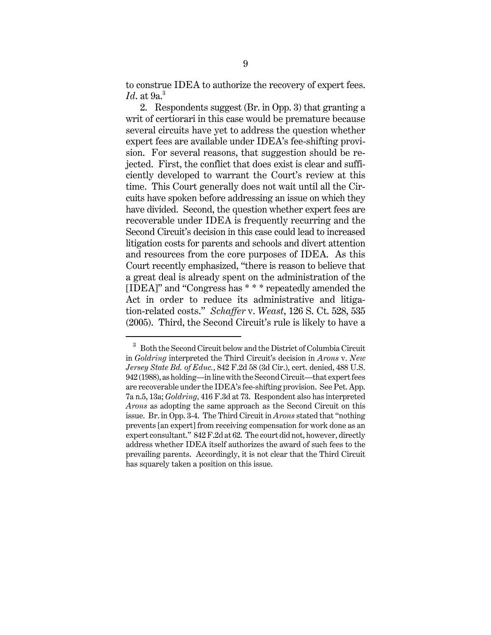to construe IDEA to authorize the recovery of expert fees. *Id.* at 9a.<sup>3</sup>

2. Respondents suggest (Br. in Opp. 3) that granting a writ of certiorari in this case would be premature because several circuits have yet to address the question whether expert fees are available under IDEA's fee-shifting provision. For several reasons, that suggestion should be rejected. First, the conflict that does exist is clear and sufficiently developed to warrant the Court's review at this time. This Court generally does not wait until all the Circuits have spoken before addressing an issue on which they have divided. Second, the question whether expert fees are recoverable under IDEA is frequently recurring and the Second Circuit's decision in this case could lead to increased litigation costs for parents and schools and divert attention and resources from the core purposes of IDEA. As this Court recently emphasized, "there is reason to believe that a great deal is already spent on the administration of the [IDEA]" and "Congress has \* \* \* repeatedly amended the Act in order to reduce its administrative and litigation-related costs." *Schaffer* v. *Weast*, 126 S. Ct. 528, 535 (2005). Third, the Second Circuit's rule is likely to have a

 $^3\;$  Both the Second Circuit below and the District of Columbia Circuit in *Goldring* interpreted the Third Circuit's decision in *Arons* v. *New Jersey State Bd. of Educ.*, 842 F.2d 58 (3d Cir.), cert. denied, 488 U.S. 942 (1988), as holding—in line with the Second Circuit—that expert fees are recoverable under the IDEA's fee-shifting provision. See Pet. App. 7a n.5, 13a; *Goldring*, 416 F.3d at 73. Respondent also has interpreted *Arons* as adopting the same approach as the Second Circuit on this issue. Br. in Opp. 3-4. The Third Circuit in *Arons* stated that "nothing prevents [an expert] from receiving compensation for work done as an expert consultant." 842 F.2d at 62. The court did not, however, directly address whether IDEA itself authorizes the award of such fees to the prevailing parents. Accordingly, it is not clear that the Third Circuit has squarely taken a position on this issue.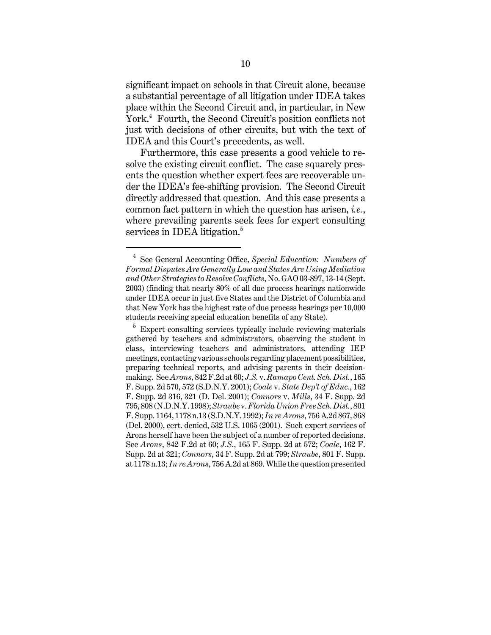significant impact on schools in that Circuit alone, because a substantial percentage of all litigation under IDEA takes place within the Second Circuit and, in particular, in New York.<sup>4</sup> Fourth, the Second Circuit's position conflicts not just with decisions of other circuits, but with the text of IDEA and this Court's precedents, as well.

Furthermore, this case presents a good vehicle to resolve the existing circuit conflict. The case squarely presents the question whether expert fees are recoverable under the IDEA's fee-shifting provision. The Second Circuit directly addressed that question. And this case presents a common fact pattern in which the question has arisen, *i.e.*, where prevailing parents seek fees for expert consulting services in IDEA litigation.<sup>5</sup>

<sup>4</sup> See General Accounting Office, *Special Education: Numbers of Formal Disputes Are Generally Low and States Are Using Mediation and Other Strategies to Resolve Conflicts*, No. GAO 03-897, 13-14 (Sept. 2003) (finding that nearly 80% of all due process hearings nationwide under IDEA occur in just five States and the District of Columbia and that New York has the highest rate of due process hearings per 10,000 students receiving special education benefits of any State).

 $5$  Expert consulting services typically include reviewing materials gathered by teachers and administrators, observing the student in class, interviewing teachers and administrators, attending IEP meetings, contacting various schools regarding placement possibilities, preparing technical reports, and advising parents in their decisionmaking. See *Arons*, 842 F.2d at 60; *J.S.* v. *Ramapo Cent. Sch. Dist.*, 165 F. Supp. 2d 570, 572 (S.D.N.Y. 2001); *Coale* v. *State Dep't of Educ.*, 162 F. Supp. 2d 316, 321 (D. Del. 2001); *Connors* v. *Mills*, 34 F. Supp. 2d 795, 808 (N.D.N.Y. 1998); *Straube* v. *Florida Union Free Sch. Dist.*, 801 F. Supp. 1164, 1178 n.13 (S.D.N.Y. 1992); *In re Arons*, 756 A.2d 867, 868 (Del. 2000), cert. denied, 532 U.S. 1065 (2001). Such expert services of Arons herself have been the subject of a number of reported decisions. See *Arons*, 842 F.2d at 60; *J.S.*, 165 F. Supp. 2d at 572; *Coale*, 162 F. Supp. 2d at 321; *Connors*, 34 F. Supp. 2d at 799; *Straube*, 801 F. Supp. at 1178 n.13; *In re Arons*, 756 A.2d at 869. While the question presented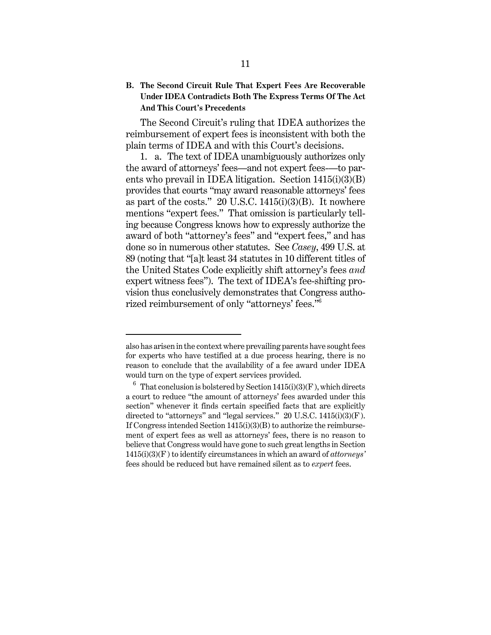#### **B. The Second Circuit Rule That Expert Fees Are Recoverable Under IDEA Contradicts Both The Express Terms Of The Act And This Court's Precedents**

The Second Circuit's ruling that IDEA authorizes the reimbursement of expert fees is inconsistent with both the plain terms of IDEA and with this Court's decisions.

1. a. The text of IDEA unambiguously authorizes only the award of attorneys' fees—and not expert fees-—to parents who prevail in IDEA litigation. Section 1415(i)(3)(B) provides that courts "may award reasonable attorneys' fees as part of the costs."  $20$  U.S.C. 1415(i)(3)(B). It nowhere mentions "expert fees." That omission is particularly telling because Congress knows how to expressly authorize the award of both "attorney's fees" and "expert fees," and has done so in numerous other statutes. See *Casey*, 499 U.S. at 89 (noting that "[a]t least 34 statutes in 10 different titles of the United States Code explicitly shift attorney's fees *and* expert witness fees"). The text of IDEA's fee-shifting provision thus conclusively demonstrates that Congress authorized reimbursement of only "attorneys' fees."6

also has arisen in the context where prevailing parents have sought fees for experts who have testified at a due process hearing, there is no reason to conclude that the availability of a fee award under IDEA would turn on the type of expert services provided.

<sup>&</sup>lt;sup>6</sup> That conclusion is bolstered by Section  $1415(i)(3)(F)$ , which directs a court to reduce "the amount of attorneys' fees awarded under this section" whenever it finds certain specified facts that are explicitly directed to "attorneys" and "legal services."  $20$  U.S.C.  $1415(i)(3)(F)$ . If Congress intended Section  $1415(i)(3)(B)$  to authorize the reimbursement of expert fees as well as attorneys' fees, there is no reason to believe that Congress would have gone to such great lengths in Section 1415(i)(3)(F) to identify circumstances in which an award of *attorneys'* fees should be reduced but have remained silent as to *expert* fees.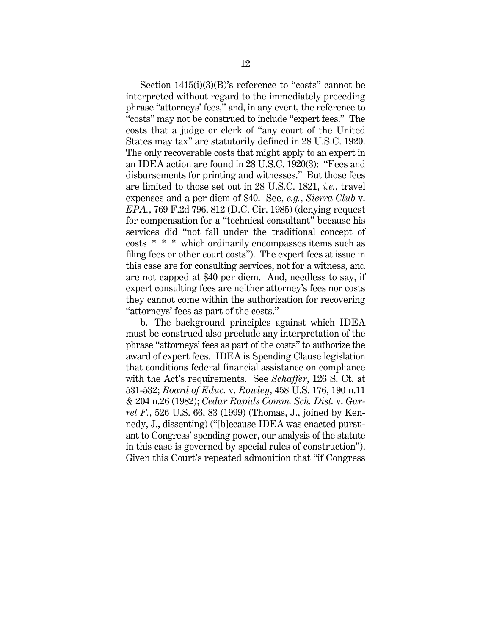Section 1415(i)(3)(B)'s reference to "costs" cannot be interpreted without regard to the immediately preceding phrase "attorneys' fees," and, in any event, the reference to "costs" may not be construed to include "expert fees." The costs that a judge or clerk of "any court of the United States may tax" are statutorily defined in 28 U.S.C. 1920. The only recoverable costs that might apply to an expert in an IDEA action are found in 28 U.S.C. 1920(3): "Fees and disbursements for printing and witnesses." But those fees are limited to those set out in 28 U.S.C. 1821, *i.e.*, travel expenses and a per diem of \$40. See, *e.g.*, *Sierra Club* v. *EPA.*, 769 F.2d 796, 812 (D.C. Cir. 1985) (denying request for compensation for a "technical consultant" because his services did "not fall under the traditional concept of costs \* \* \* which ordinarily encompasses items such as filing fees or other court costs"). The expert fees at issue in this case are for consulting services, not for a witness, and are not capped at \$40 per diem. And, needless to say, if expert consulting fees are neither attorney's fees nor costs they cannot come within the authorization for recovering "attorneys' fees as part of the costs."

b. The background principles against which IDEA must be construed also preclude any interpretation of the phrase "attorneys' fees as part of the costs" to authorize the award of expert fees. IDEA is Spending Clause legislation that conditions federal financial assistance on compliance with the Act's requirements. See *Schaffer*, 126 S. Ct. at 531-532; *Board of Educ.* v. *Rowley*, 458 U.S. 176, 190 n.11 & 204 n.26 (1982); *Cedar Rapids Comm. Sch. Dist.* v. *Garret F.*, 526 U.S. 66, 83 (1999) (Thomas, J., joined by Kennedy, J., dissenting) ("[b]ecause IDEA was enacted pursuant to Congress' spending power, our analysis of the statute in this case is governed by special rules of construction"). Given this Court's repeated admonition that "if Congress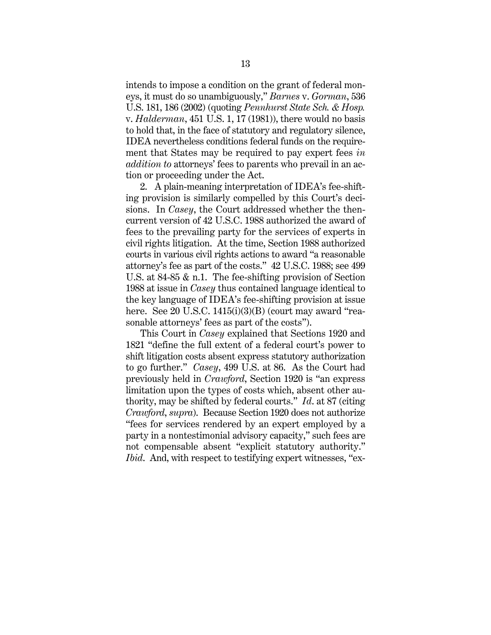intends to impose a condition on the grant of federal moneys, it must do so unambiguously," *Barnes* v. *Gorman*, 536 U.S. 181, 186 (2002) (quoting *Pennhurst State Sch. & Hosp.* v. *Halderman*, 451 U.S. 1, 17 (1981)), there would no basis to hold that, in the face of statutory and regulatory silence, IDEA nevertheless conditions federal funds on the requirement that States may be required to pay expert fees *in addition to* attorneys' fees to parents who prevail in an action or proceeding under the Act.

2. A plain-meaning interpretation of IDEA's fee-shifting provision is similarly compelled by this Court's decisions. In *Casey*, the Court addressed whether the thencurrent version of 42 U.S.C. 1988 authorized the award of fees to the prevailing party for the services of experts in civil rights litigation. At the time, Section 1988 authorized courts in various civil rights actions to award "a reasonable attorney's fee as part of the costs." 42 U.S.C. 1988; see 499 U.S. at 84-85 & n.1. The fee-shifting provision of Section 1988 at issue in *Casey* thus contained language identical to the key language of IDEA's fee-shifting provision at issue here. See  $20$  U.S.C.  $1415(i)(3)(B)$  (court may award "reasonable attorneys' fees as part of the costs").

This Court in *Casey* explained that Sections 1920 and 1821 "define the full extent of a federal court's power to shift litigation costs absent express statutory authorization to go further." *Casey*, 499 U.S. at 86. As the Court had previously held in *Crawford*, Section 1920 is "an express limitation upon the types of costs which, absent other authority, may be shifted by federal courts." *Id*. at 87 (citing *Crawford*, *supra*). Because Section 1920 does not authorize "fees for services rendered by an expert employed by a party in a nontestimonial advisory capacity," such fees are not compensable absent "explicit statutory authority." *Ibid*. And, with respect to testifying expert witnesses, "ex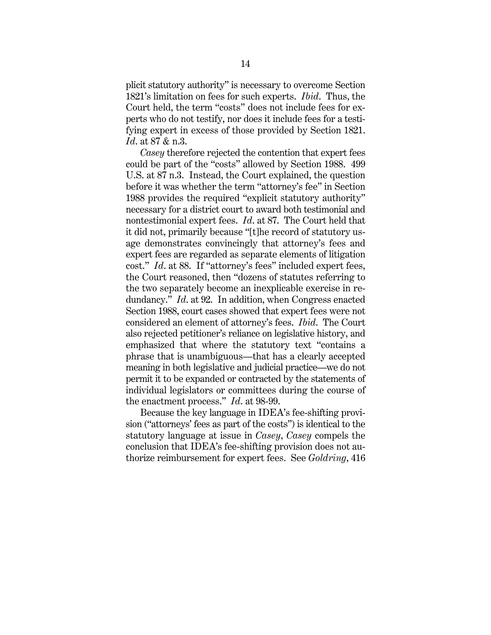plicit statutory authority" is necessary to overcome Section 1821's limitation on fees for such experts. *Ibid*. Thus, the Court held, the term "costs" does not include fees for experts who do not testify, nor does it include fees for a testifying expert in excess of those provided by Section 1821. *Id*. at 87 & n.3.

*Casey* therefore rejected the contention that expert fees could be part of the "costs" allowed by Section 1988. 499 U.S. at 87 n.3. Instead, the Court explained, the question before it was whether the term "attorney's fee" in Section 1988 provides the required "explicit statutory authority" necessary for a district court to award both testimonial and nontestimonial expert fees. *Id*. at 87. The Court held that it did not, primarily because "[t]he record of statutory usage demonstrates convincingly that attorney's fees and expert fees are regarded as separate elements of litigation cost." *Id*. at 88. If "attorney's fees" included expert fees, the Court reasoned, then "dozens of statutes referring to the two separately become an inexplicable exercise in redundancy." *Id*. at 92. In addition, when Congress enacted Section 1988, court cases showed that expert fees were not considered an element of attorney's fees. *Ibid*. The Court also rejected petitioner's reliance on legislative history, and emphasized that where the statutory text "contains a phrase that is unambiguous—that has a clearly accepted meaning in both legislative and judicial practice—we do not permit it to be expanded or contracted by the statements of individual legislators or committees during the course of the enactment process." *Id*. at 98-99.

Because the key language in IDEA's fee-shifting provision ("attorneys' fees as part of the costs") is identical to the statutory language at issue in *Casey*, *Casey* compels the conclusion that IDEA's fee-shifting provision does not authorize reimbursement for expert fees. See *Goldring*, 416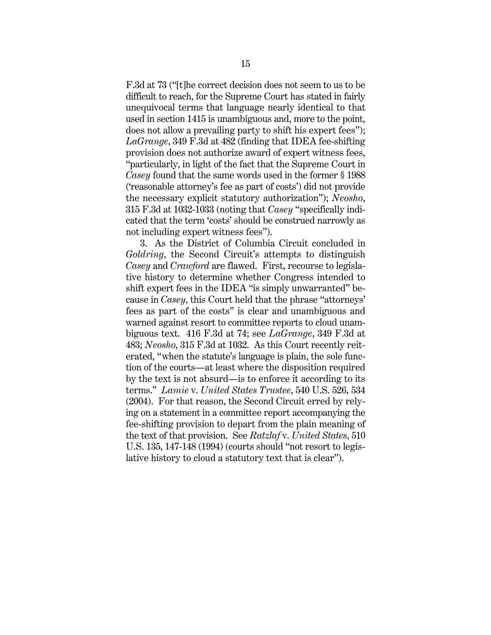F.3d at 73 ("[t]he correct decision does not seem to us to be difficult to reach, for the Supreme Court has stated in fairly unequivocal terms that language nearly identical to that used in section 1415 is unambiguous and, more to the point, does not allow a prevailing party to shift his expert fees"); *LaGrange*, 349 F.3d at 482 (finding that IDEA fee-shifting provision does not authorize award of expert witness fees, "particularly, in light of the fact that the Supreme Court in *Casey* found that the same words used in the former § 1988 ('reasonable attorney's fee as part of costs') did not provide the necessary explicit statutory authorization"); *Neosho*, 315 F.3d at 1032-1033 (noting that *Casey* "specifically indicated that the term 'costs' should be construed narrowly as not including expert witness fees").

3. As the District of Columbia Circuit concluded in *Goldring*, the Second Circuit's attempts to distinguish *Casey* and *Crawford* are flawed. First, recourse to legislative history to determine whether Congress intended to shift expert fees in the IDEA "is simply unwarranted" because in *Casey*, this Court held that the phrase "attorneys' fees as part of the costs" is clear and unambiguous and warned against resort to committee reports to cloud unambiguous text. 416 F.3d at 74; see *LaGrange*, 349 F.3d at 483; *Neosho*, 315 F.3d at 1032. As this Court recently reiterated, "when the statute's language is plain, the sole function of the courts—at least where the disposition required by the text is not absurd—is to enforce it according to its terms." *Lamie* v. *United States Trustee*, 540 U.S. 526, 534 (2004). For that reason, the Second Circuit erred by relying on a statement in a committee report accompanying the fee-shifting provision to depart from the plain meaning of the text of that provision. See *Ratzlaf* v. *United States*, 510 U.S. 135, 147-148 (1994) (courts should "not resort to legislative history to cloud a statutory text that is clear").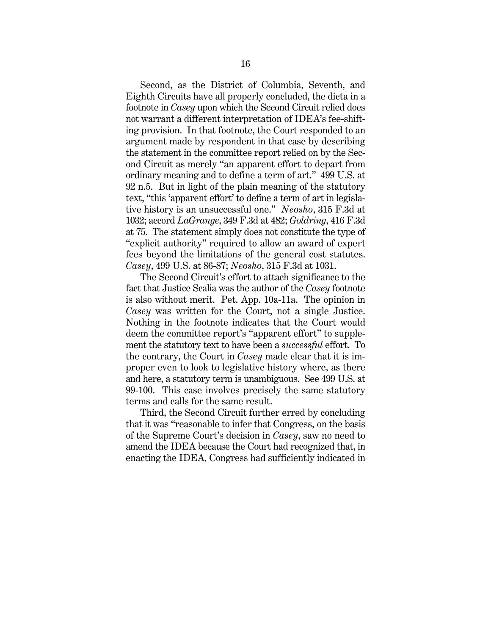Second, as the District of Columbia, Seventh, and Eighth Circuits have all properly concluded, the dicta in a footnote in *Casey* upon which the Second Circuit relied does not warrant a different interpretation of IDEA's fee-shifting provision. In that footnote, the Court responded to an argument made by respondent in that case by describing the statement in the committee report relied on by the Second Circuit as merely "an apparent effort to depart from ordinary meaning and to define a term of art." 499 U.S. at 92 n.5. But in light of the plain meaning of the statutory text, "this 'apparent effort' to define a term of art in legislative history is an unsuccessful one." *Neosho*, 315 F.3d at 1032; accord *LaGrange*, 349 F.3d at 482; *Goldring*, 416 F.3d at 75. The statement simply does not constitute the type of "explicit authority" required to allow an award of expert fees beyond the limitations of the general cost statutes. *Casey*, 499 U.S. at 86-87; *Neosho*, 315 F.3d at 1031.

The Second Circuit's effort to attach significance to the fact that Justice Scalia was the author of the *Casey* footnote is also without merit. Pet. App. 10a-11a. The opinion in *Casey* was written for the Court, not a single Justice. Nothing in the footnote indicates that the Court would deem the committee report's "apparent effort" to supplement the statutory text to have been a *successful* effort. To the contrary, the Court in *Casey* made clear that it is improper even to look to legislative history where, as there and here, a statutory term is unambiguous. See 499 U.S. at 99-100. This case involves precisely the same statutory terms and calls for the same result.

Third, the Second Circuit further erred by concluding that it was "reasonable to infer that Congress, on the basis of the Supreme Court's decision in *Casey*, saw no need to amend the IDEA because the Court had recognized that, in enacting the IDEA, Congress had sufficiently indicated in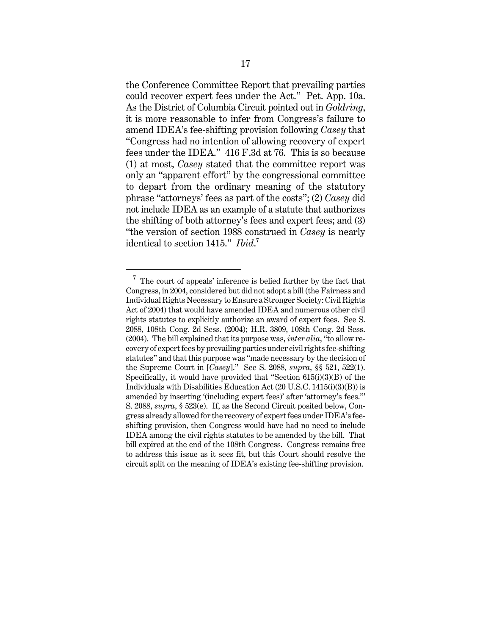the Conference Committee Report that prevailing parties could recover expert fees under the Act." Pet. App. 10a. As the District of Columbia Circuit pointed out in *Goldring*, it is more reasonable to infer from Congress's failure to amend IDEA's fee-shifting provision following *Casey* that "Congress had no intention of allowing recovery of expert fees under the IDEA." 416 F.3d at 76. This is so because (1) at most, *Casey* stated that the committee report was only an "apparent effort" by the congressional committee to depart from the ordinary meaning of the statutory phrase "attorneys' fees as part of the costs"; (2) *Casey* did not include IDEA as an example of a statute that authorizes the shifting of both attorney's fees and expert fees; and (3) "the version of section 1988 construed in *Casey* is nearly identical to section 1415." *Ibid*. 7

 $7$  The court of appeals' inference is belied further by the fact that Congress, in 2004, considered but did not adopt a bill (the Fairness and Individual Rights Necessary to Ensure a Stronger Society: Civil Rights Act of 2004) that would have amended IDEA and numerous other civil rights statutes to explicitly authorize an award of expert fees. See S. 2088, 108th Cong. 2d Sess. (2004); H.R. 3809, 108th Cong. 2d Sess. (2004). The bill explained that its purpose was, *inter alia*, "to allow recovery of expert fees by prevailing parties under civil rights fee-shifting statutes" and that this purpose was "made necessary by the decision of the Supreme Court in [*Casey*]." See S. 2088, *supra*, §§ 521, 522(1). Specifically, it would have provided that "Section 615(i)(3)(B) of the Individuals with Disabilities Education Act (20 U.S.C. 1415(i)(3)(B)) is amended by inserting '(including expert fees)' after 'attorney's fees.'" S. 2088, *supra*, § 523(e). If, as the Second Circuit posited below, Congress already allowed for the recovery of expert fees under IDEA's feeshifting provision, then Congress would have had no need to include IDEA among the civil rights statutes to be amended by the bill. That bill expired at the end of the 108th Congress. Congress remains free to address this issue as it sees fit, but this Court should resolve the circuit split on the meaning of IDEA's existing fee-shifting provision.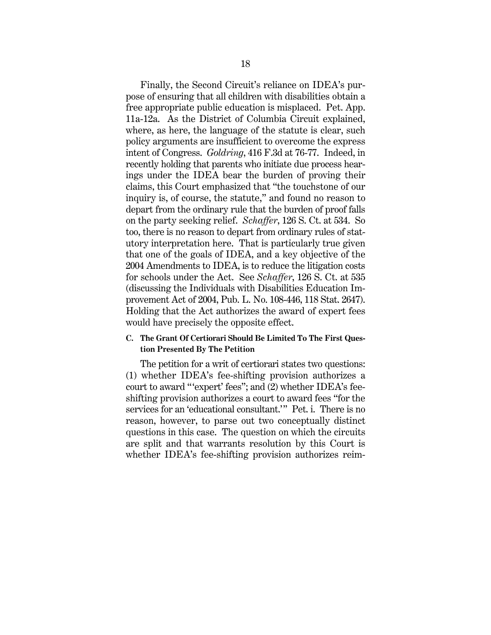Finally, the Second Circuit's reliance on IDEA's purpose of ensuring that all children with disabilities obtain a free appropriate public education is misplaced. Pet. App. 11a-12a. As the District of Columbia Circuit explained, where, as here, the language of the statute is clear, such policy arguments are insufficient to overcome the express intent of Congress. *Goldring*, 416 F.3d at 76-77. Indeed, in recently holding that parents who initiate due process hearings under the IDEA bear the burden of proving their claims, this Court emphasized that "the touchstone of our inquiry is, of course, the statute," and found no reason to depart from the ordinary rule that the burden of proof falls on the party seeking relief. *Schaffer*, 126 S. Ct. at 534. So too, there is no reason to depart from ordinary rules of statutory interpretation here. That is particularly true given that one of the goals of IDEA, and a key objective of the 2004 Amendments to IDEA, is to reduce the litigation costs for schools under the Act. See *Schaffer*, 126 S. Ct. at 535 (discussing the Individuals with Disabilities Education Improvement Act of 2004, Pub. L. No. 108-446, 118 Stat. 2647). Holding that the Act authorizes the award of expert fees would have precisely the opposite effect.

#### **C. The Grant Of Certiorari Should Be Limited To The First Question Presented By The Petition**

The petition for a writ of certiorari states two questions: (1) whether IDEA's fee-shifting provision authorizes a court to award "'expert' fees"; and (2) whether IDEA's feeshifting provision authorizes a court to award fees "for the services for an 'educational consultant.'" Pet. i. There is no reason, however, to parse out two conceptually distinct questions in this case. The question on which the circuits are split and that warrants resolution by this Court is whether IDEA's fee-shifting provision authorizes reim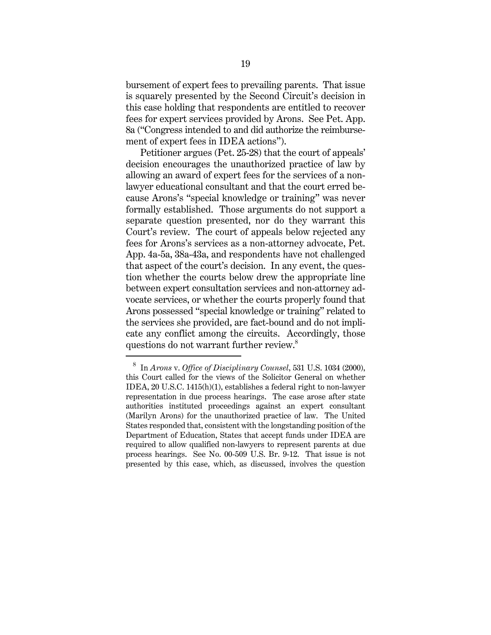bursement of expert fees to prevailing parents. That issue is squarely presented by the Second Circuit's decision in this case holding that respondents are entitled to recover fees for expert services provided by Arons. See Pet. App. 8a ("Congress intended to and did authorize the reimbursement of expert fees in IDEA actions").

Petitioner argues (Pet. 25-28) that the court of appeals' decision encourages the unauthorized practice of law by allowing an award of expert fees for the services of a nonlawyer educational consultant and that the court erred because Arons's "special knowledge or training" was never formally established. Those arguments do not support a separate question presented, nor do they warrant this Court's review. The court of appeals below rejected any fees for Arons's services as a non-attorney advocate, Pet. App. 4a-5a, 38a-43a, and respondents have not challenged that aspect of the court's decision. In any event, the question whether the courts below drew the appropriate line between expert consultation services and non-attorney advocate services, or whether the courts properly found that Arons possessed "special knowledge or training" related to the services she provided, are fact-bound and do not implicate any conflict among the circuits. Accordingly, those questions do not warrant further review.<sup>8</sup>

<sup>8</sup> In *Arons* v. *Office of Disciplinary Counsel*, 531 U.S. 1034 (2000), this Court called for the views of the Solicitor General on whether IDEA, 20 U.S.C. 1415(h)(1), establishes a federal right to non-lawyer representation in due process hearings. The case arose after state authorities instituted proceedings against an expert consultant (Marilyn Arons) for the unauthorized practice of law. The United States responded that, consistent with the longstanding position of the Department of Education, States that accept funds under IDEA are required to allow qualified non-lawyers to represent parents at due process hearings. See No. 00-509 U.S. Br. 9-12. That issue is not presented by this case, which, as discussed, involves the question